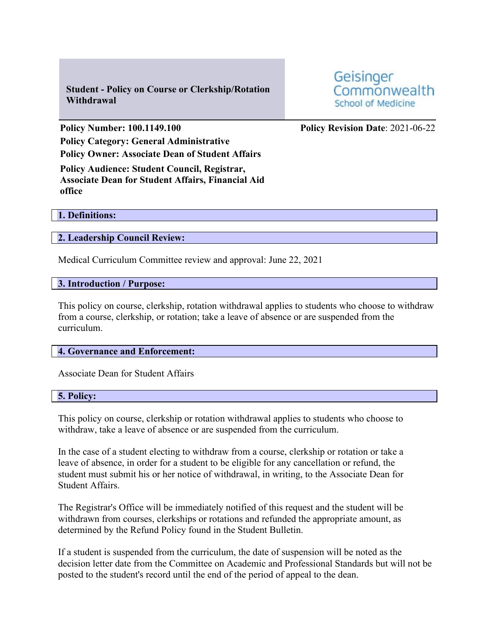**Student - Policy on Course or Clerkship/Rotation Withdrawal**

**Policy Number: 100.1149.100 Policy Revision Date**: 2021-06-22 **Policy Category: General Administrative Policy Owner: Associate Dean of Student Affairs**

**Policy Audience: Student Council, Registrar, Associate Dean for Student Affairs, Financial Aid office**

**1. Definitions:**

**2. Leadership Council Review:**

Medical Curriculum Committee review and approval: June 22, 2021

**3. Introduction / Purpose:**

This policy on course, clerkship, rotation withdrawal applies to students who choose to withdraw from a course, clerkship, or rotation; take a leave of absence or are suspended from the curriculum.

**4. Governance and Enforcement:**

Associate Dean for Student Affairs

## **5. Policy:**

This policy on course, clerkship or rotation withdrawal applies to students who choose to withdraw, take a leave of absence or are suspended from the curriculum.

In the case of a student electing to withdraw from a course, clerkship or rotation or take a leave of absence, in order for a student to be eligible for any cancellation or refund, the student must submit his or her notice of withdrawal, in writing, to the Associate Dean for Student Affairs.

The Registrar's Office will be immediately notified of this request and the student will be withdrawn from courses, clerkships or rotations and refunded the appropriate amount, as determined by the Refund Policy found in the Student Bulletin.

If a student is suspended from the curriculum, the date of suspension will be noted as the decision letter date from the Committee on Academic and Professional Standards but will not be posted to the student's record until the end of the period of appeal to the dean.

Geisinger Commonwealth **School of Medicine**